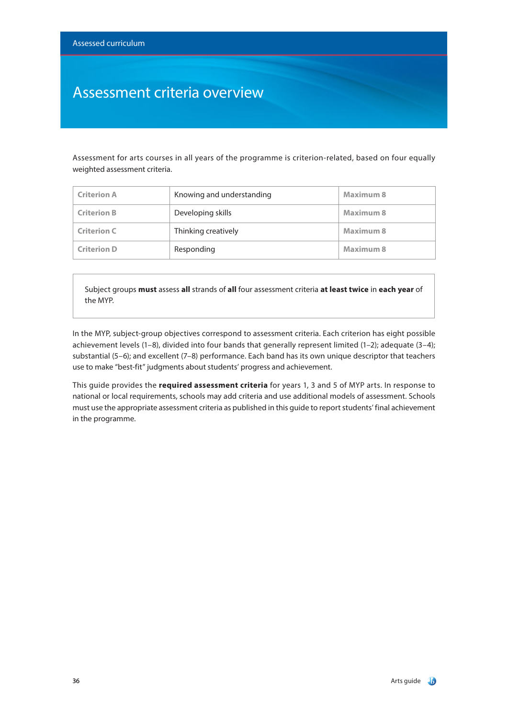### Assessment criteria overview

Assessment for arts courses in all years of the programme is criterion-related, based on four equally weighted assessment criteria.

| <b>Criterion A</b> | Knowing and understanding | Maximum 8 |
|--------------------|---------------------------|-----------|
| <b>Criterion B</b> | Developing skills         | Maximum 8 |
| <b>Criterion C</b> | Thinking creatively       | Maximum 8 |
| <b>Criterion D</b> | Responding                | Maximum 8 |

Subject groups **must** assess **all** strands of **all** four assessment criteria **at least twice** in **each year** of the MYP.

In the MYP, subject-group objectives correspond to assessment criteria. Each criterion has eight possible achievement levels (1–8), divided into four bands that generally represent limited (1–2); adequate (3–4); substantial (5–6); and excellent (7–8) performance. Each band has its own unique descriptor that teachers use to make "best-fit" judgments about students' progress and achievement.

This guide provides the **required assessment criteria** for years 1, 3 and 5 of MYP arts. In response to national or local requirements, schools may add criteria and use additional models of assessment. Schools must use the appropriate assessment criteria as published in this guide to report students' final achievement in the programme.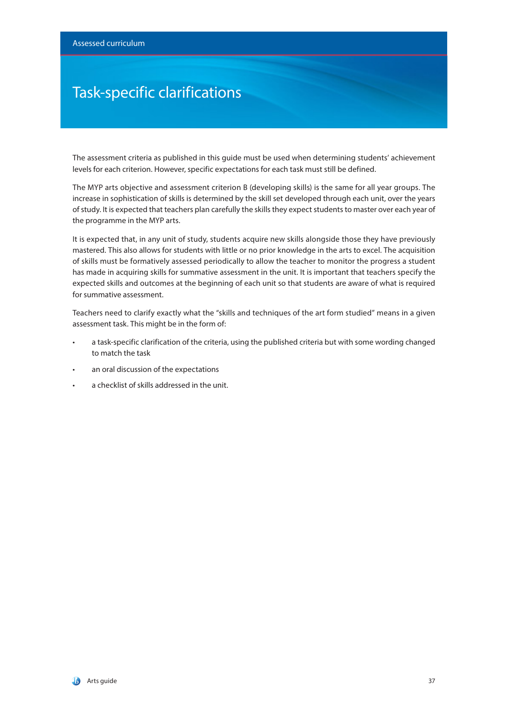### Task-specific clarifications

The assessment criteria as published in this guide must be used when determining students' achievement levels for each criterion. However, specific expectations for each task must still be defined.

The MYP arts objective and assessment criterion B (developing skills) is the same for all year groups. The increase in sophistication of skills is determined by the skill set developed through each unit, over the years of study. It is expected that teachers plan carefully the skills they expect students to master over each year of the programme in the MYP arts.

It is expected that, in any unit of study, students acquire new skills alongside those they have previously mastered. This also allows for students with little or no prior knowledge in the arts to excel. The acquisition of skills must be formatively assessed periodically to allow the teacher to monitor the progress a student has made in acquiring skills for summative assessment in the unit. It is important that teachers specify the expected skills and outcomes at the beginning of each unit so that students are aware of what is required for summative assessment.

Teachers need to clarify exactly what the "skills and techniques of the art form studied" means in a given assessment task. This might be in the form of:

- a task-specific clarification of the criteria, using the published criteria but with some wording changed to match the task
- an oral discussion of the expectations
- a checklist of skills addressed in the unit.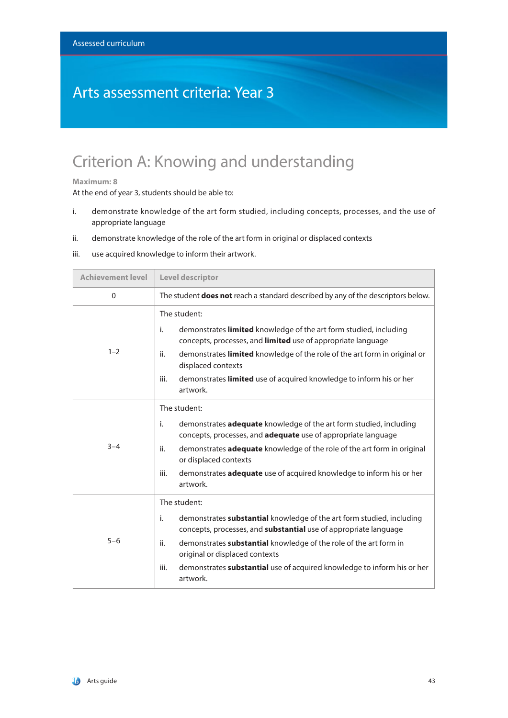### Arts assessment criteria: Year 3

## Criterion A: Knowing and understanding

#### **Maximum: 8**

- i. demonstrate knowledge of the art form studied, including concepts, processes, and the use of appropriate language
- ii. demonstrate knowledge of the role of the art form in original or displaced contexts
- iii. use acquired knowledge to inform their artwork.

| <b>Achievement level</b> | Level descriptor                                                                                                                                                                                                                                                                                                                                                                    |  |
|--------------------------|-------------------------------------------------------------------------------------------------------------------------------------------------------------------------------------------------------------------------------------------------------------------------------------------------------------------------------------------------------------------------------------|--|
| $\Omega$                 | The student <b>does not</b> reach a standard described by any of the descriptors below.                                                                                                                                                                                                                                                                                             |  |
| $1 - 2$                  | The student:<br>demonstrates limited knowledge of the art form studied, including<br>i.<br>concepts, processes, and limited use of appropriate language<br>demonstrates limited knowledge of the role of the art form in original or<br>ii.<br>displaced contexts<br>demonstrates limited use of acquired knowledge to inform his or her<br>iii.<br>artwork.                        |  |
| $3 - 4$                  | The student:<br>demonstrates <b>adequate</b> knowledge of the art form studied, including<br>i.<br>concepts, processes, and adequate use of appropriate language<br>demonstrates adequate knowledge of the role of the art form in original<br>ii.<br>or displaced contexts<br>demonstrates adequate use of acquired knowledge to inform his or her<br>iii.<br>artwork.             |  |
| $5 - 6$                  | The student:<br>demonstrates substantial knowledge of the art form studied, including<br>i.<br>concepts, processes, and <b>substantial</b> use of appropriate language<br>demonstrates substantial knowledge of the role of the art form in<br>ii.<br>original or displaced contexts<br>demonstrates substantial use of acquired knowledge to inform his or her<br>iii.<br>artwork. |  |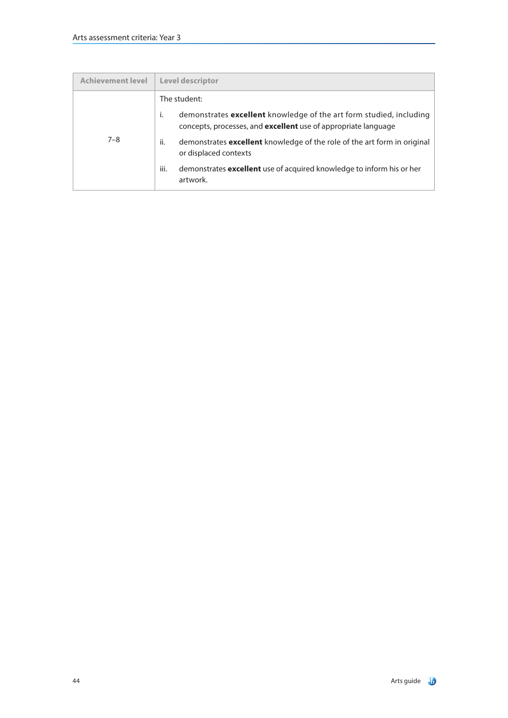| <b>Achievement level</b> | Level descriptor                                                                                                                                          |
|--------------------------|-----------------------------------------------------------------------------------------------------------------------------------------------------------|
| $7 - 8$                  | The student:                                                                                                                                              |
|                          | demonstrates <b>excellent</b> knowledge of the art form studied, including<br>Ť.<br>concepts, processes, and <b>excellent</b> use of appropriate language |
|                          | ii.<br>demonstrates <b>excellent</b> knowledge of the role of the art form in original<br>or displaced contexts                                           |
|                          | iii.<br>demonstrates excellent use of acquired knowledge to inform his or her<br>artwork.                                                                 |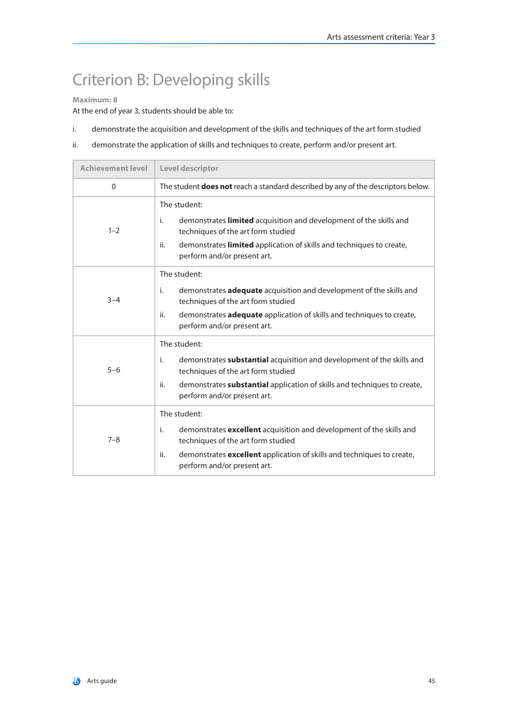# Criterion B: Developing skills

### **Maximum: 8**

- i. demonstrate the acquisition and development of the skills and techniques of the art form studied
- ii. demonstrate the application of skills and techniques to create, perform and/or present art.

| <b>Achievement level</b> | Level descriptor                                                                                                                                                                                                                                             |  |
|--------------------------|--------------------------------------------------------------------------------------------------------------------------------------------------------------------------------------------------------------------------------------------------------------|--|
| $\Omega$                 | The student <b>does not</b> reach a standard described by any of the descriptors below.                                                                                                                                                                      |  |
| $1 - 2$                  | The student:<br>demonstrates <b>limited</b> acquisition and development of the skills and<br>i.<br>techniques of the art form studied<br>demonstrates limited application of skills and techniques to create,<br>ii.<br>perform and/or present art.          |  |
| $3 - 4$                  | The student:<br>i.<br>demonstrates <b>adequate</b> acquisition and development of the skills and<br>techniques of the art form studied<br>demonstrates <b>adequate</b> application of skills and techniques to create,<br>ii.<br>perform and/or present art. |  |
| $5 - 6$                  | The student:<br>demonstrates <b>substantial</b> acquisition and development of the skills and<br>i.<br>techniques of the art form studied<br>demonstrates substantial application of skills and techniques to create,<br>ii.<br>perform and/or present art.  |  |
| $7 - 8$                  | The student:<br>i.<br>demonstrates <b>excellent</b> acquisition and development of the skills and<br>techniques of the art form studied<br>demonstrates excellent application of skills and techniques to create,<br>ii.<br>perform and/or present art.      |  |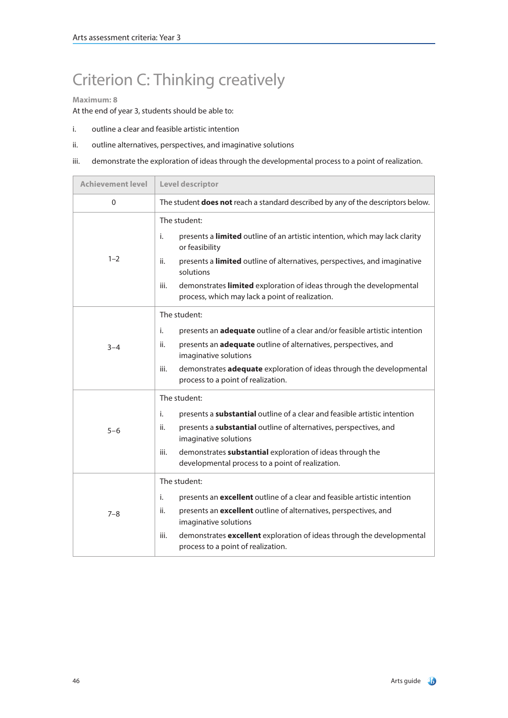# Criterion C: Thinking creatively

#### **Maximum: 8**

- i. outline a clear and feasible artistic intention
- ii. outline alternatives, perspectives, and imaginative solutions
- iii. demonstrate the exploration of ideas through the developmental process to a point of realization.

| <b>Achievement level</b> | Level descriptor                                                                                                                                                                                                                                                                                                                                       |  |
|--------------------------|--------------------------------------------------------------------------------------------------------------------------------------------------------------------------------------------------------------------------------------------------------------------------------------------------------------------------------------------------------|--|
| $\mathbf{0}$             | The student does not reach a standard described by any of the descriptors below.                                                                                                                                                                                                                                                                       |  |
| $1 - 2$                  | The student:<br>i.<br>presents a limited outline of an artistic intention, which may lack clarity<br>or feasibility<br>presents a limited outline of alternatives, perspectives, and imaginative<br>ii.<br>solutions<br>demonstrates limited exploration of ideas through the developmental<br>iii.<br>process, which may lack a point of realization. |  |
| $3 - 4$                  | The student:<br>i.<br>presents an <b>adequate</b> outline of a clear and/or feasible artistic intention<br>presents an adequate outline of alternatives, perspectives, and<br>ii.<br>imaginative solutions<br>demonstrates adequate exploration of ideas through the developmental<br>iii.<br>process to a point of realization.                       |  |
| $5 - 6$                  | The student:<br>presents a substantial outline of a clear and feasible artistic intention<br>i.<br>ii.<br>presents a <b>substantial</b> outline of alternatives, perspectives, and<br>imaginative solutions<br>demonstrates substantial exploration of ideas through the<br>iii.<br>developmental process to a point of realization.                   |  |
| $7 - 8$                  | The student:<br>presents an <b>excellent</b> outline of a clear and feasible artistic intention<br>i.<br>presents an excellent outline of alternatives, perspectives, and<br>ii.<br>imaginative solutions<br>demonstrates excellent exploration of ideas through the developmental<br>iii.<br>process to a point of realization.                       |  |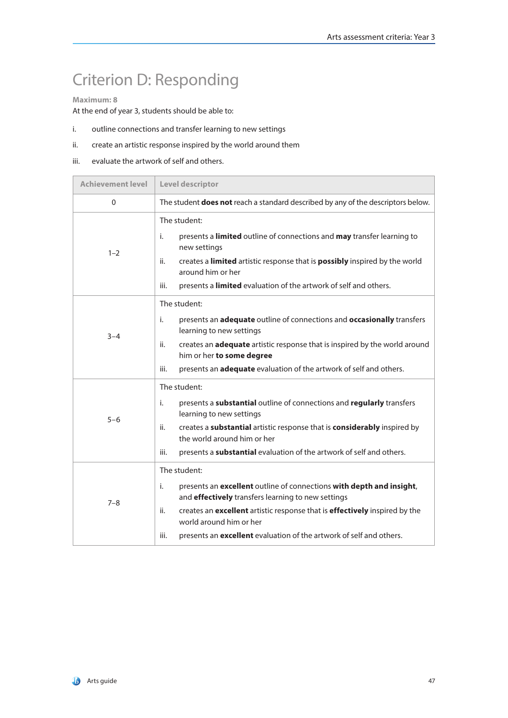# Criterion D: Responding

### **Maximum: 8**

- i. outline connections and transfer learning to new settings
- ii. create an artistic response inspired by the world around them
- iii. evaluate the artwork of self and others.

| <b>Achievement level</b> | Level descriptor                                                                                                                                                                                                                                                                                                                                |  |
|--------------------------|-------------------------------------------------------------------------------------------------------------------------------------------------------------------------------------------------------------------------------------------------------------------------------------------------------------------------------------------------|--|
| $\mathbf{0}$             | The student <b>does not</b> reach a standard described by any of the descriptors below.                                                                                                                                                                                                                                                         |  |
| $1 - 2$                  | The student:<br>presents a limited outline of connections and may transfer learning to<br>i.<br>new settings<br>creates a limited artistic response that is possibly inspired by the world<br>ii.<br>around him or her<br>presents a limited evaluation of the artwork of self and others.<br>iii.                                              |  |
| $3 - 4$                  | The student:<br>j.<br>presents an adequate outline of connections and occasionally transfers<br>learning to new settings<br>creates an <b>adequate</b> artistic response that is inspired by the world around<br>ii.<br>him or her to some degree<br>presents an <b>adequate</b> evaluation of the artwork of self and others.<br>iii.          |  |
| $5 - 6$                  | The student:<br>presents a substantial outline of connections and regularly transfers<br>i.<br>learning to new settings<br>creates a substantial artistic response that is considerably inspired by<br>ii.<br>the world around him or her<br>presents a substantial evaluation of the artwork of self and others.<br>iii.                       |  |
| $7 - 8$                  | The student:<br>presents an excellent outline of connections with depth and insight,<br>i.<br>and effectively transfers learning to new settings<br>creates an excellent artistic response that is effectively inspired by the<br>ii.<br>world around him or her<br>presents an excellent evaluation of the artwork of self and others.<br>iii. |  |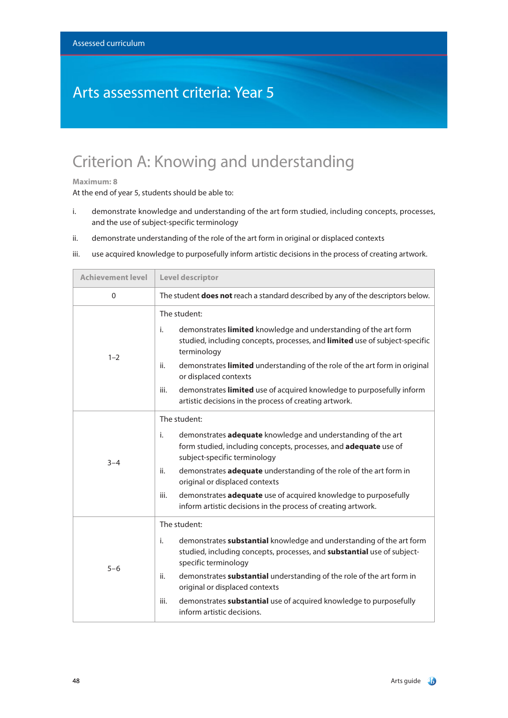### Arts assessment criteria: Year 5

## Criterion A: Knowing and understanding

#### **Maximum: 8**

- i. demonstrate knowledge and understanding of the art form studied, including concepts, processes, and the use of subject-specific terminology
- ii. demonstrate understanding of the role of the art form in original or displaced contexts
- iii. use acquired knowledge to purposefully inform artistic decisions in the process of creating artwork.

| <b>Achievement level</b> | Level descriptor                                                                                                                                                                                                                                                                                                                                                                                                                                  |  |
|--------------------------|---------------------------------------------------------------------------------------------------------------------------------------------------------------------------------------------------------------------------------------------------------------------------------------------------------------------------------------------------------------------------------------------------------------------------------------------------|--|
| $\mathbf{0}$             | The student <b>does not</b> reach a standard described by any of the descriptors below.                                                                                                                                                                                                                                                                                                                                                           |  |
| $1 - 2$                  | The student:<br>demonstrates limited knowledge and understanding of the art form<br>i.<br>studied, including concepts, processes, and limited use of subject-specific<br>terminology<br>demonstrates limited understanding of the role of the art form in original<br>ii.<br>or displaced contexts<br>demonstrates limited use of acquired knowledge to purposefully inform<br>iii.<br>artistic decisions in the process of creating artwork.     |  |
| $3 - 4$                  | The student:<br>i.<br>demonstrates adequate knowledge and understanding of the art<br>form studied, including concepts, processes, and adequate use of<br>subject-specific terminology<br>demonstrates adequate understanding of the role of the art form in<br>ii.<br>original or displaced contexts<br>demonstrates adequate use of acquired knowledge to purposefully<br>iii.<br>inform artistic decisions in the process of creating artwork. |  |
| $5 - 6$                  | The student:<br>demonstrates substantial knowledge and understanding of the art form<br>i.<br>studied, including concepts, processes, and substantial use of subject-<br>specific terminology<br>demonstrates substantial understanding of the role of the art form in<br>ii.<br>original or displaced contexts<br>iii.<br>demonstrates substantial use of acquired knowledge to purposefully<br>inform artistic decisions.                       |  |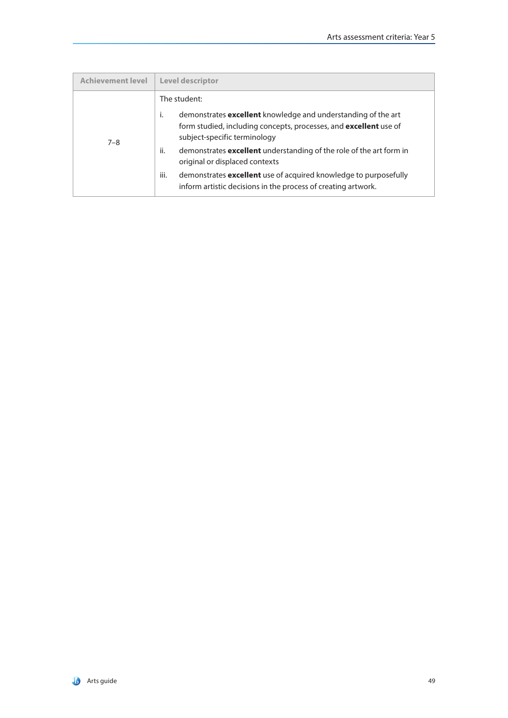| <b>Achievement level</b> | <b>Level descriptor</b>                                                                                                                                                                         |
|--------------------------|-------------------------------------------------------------------------------------------------------------------------------------------------------------------------------------------------|
| $7 - 8$                  | The student:<br>i.<br>demonstrates <b>excellent</b> knowledge and understanding of the art<br>form studied, including concepts, processes, and excellent use of<br>subject-specific terminology |
|                          | ii.<br>demonstrates <b>excellent</b> understanding of the role of the art form in<br>original or displaced contexts                                                                             |
|                          | iii.<br>demonstrates <b>excellent</b> use of acquired knowledge to purposefully<br>inform artistic decisions in the process of creating artwork.                                                |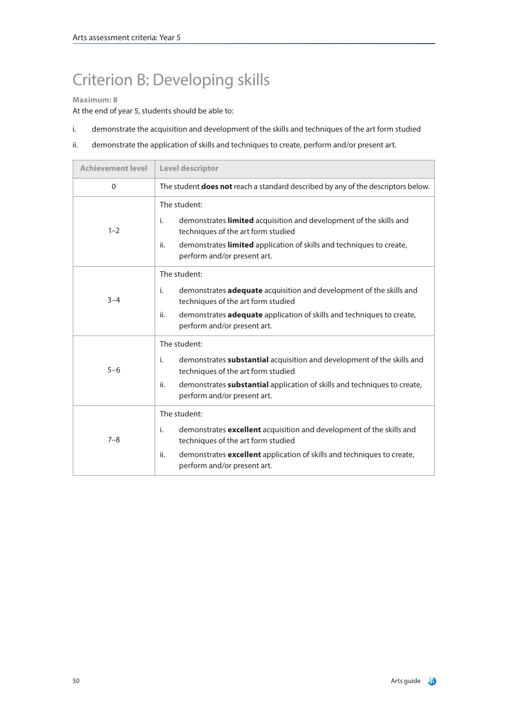# Criterion B: Developing skills

### **Maximum: 8**

- i. demonstrate the acquisition and development of the skills and techniques of the art form studied
- ii. demonstrate the application of skills and techniques to create, perform and/or present art.

| <b>Achievement level</b> | Level descriptor                                                                                                                                                                                                                                             |  |
|--------------------------|--------------------------------------------------------------------------------------------------------------------------------------------------------------------------------------------------------------------------------------------------------------|--|
| $\Omega$                 | The student <b>does not</b> reach a standard described by any of the descriptors below.                                                                                                                                                                      |  |
| $1 - 2$                  | The student:<br>demonstrates limited acquisition and development of the skills and<br>j.<br>techniques of the art form studied<br>demonstrates limited application of skills and techniques to create,<br>ii.<br>perform and/or present art.                 |  |
| $3 - 4$                  | The student:<br>j.<br>demonstrates <b>adequate</b> acquisition and development of the skills and<br>techniques of the art form studied<br>ii.<br>demonstrates <b>adequate</b> application of skills and techniques to create,<br>perform and/or present art. |  |
| $5 - 6$                  | The student:<br>demonstrates <b>substantial</b> acquisition and development of the skills and<br>i.<br>techniques of the art form studied<br>demonstrates substantial application of skills and techniques to create,<br>ii.<br>perform and/or present art.  |  |
| $7 - 8$                  | The student:<br>i.<br>demonstrates <b>excellent</b> acquisition and development of the skills and<br>techniques of the art form studied<br>ii.<br>demonstrates excellent application of skills and techniques to create,<br>perform and/or present art.      |  |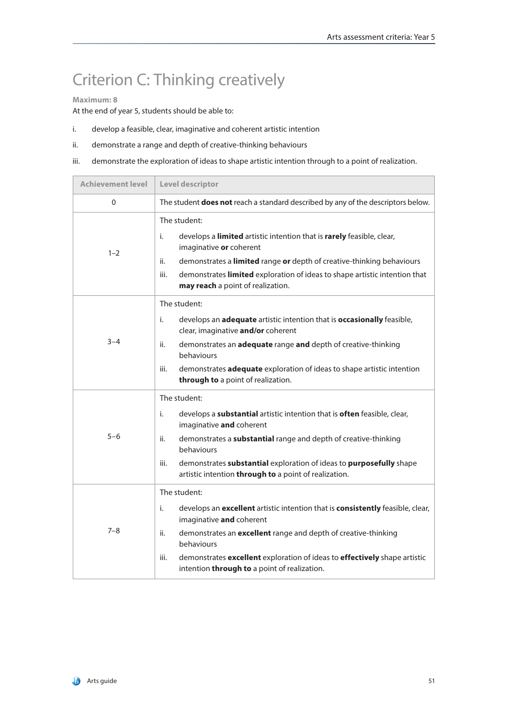# Criterion C: Thinking creatively

#### **Maximum: 8**

- i. develop a feasible, clear, imaginative and coherent artistic intention
- ii. demonstrate a range and depth of creative-thinking behaviours
- iii. demonstrate the exploration of ideas to shape artistic intention through to a point of realization.

| <b>Achievement level</b> | Level descriptor                                                                                                                                                                                                                                                                                                                                             |  |
|--------------------------|--------------------------------------------------------------------------------------------------------------------------------------------------------------------------------------------------------------------------------------------------------------------------------------------------------------------------------------------------------------|--|
| $\Omega$                 | The student <b>does not</b> reach a standard described by any of the descriptors below.                                                                                                                                                                                                                                                                      |  |
| $1 - 2$                  | The student:<br>i.<br>develops a limited artistic intention that is rarely feasible, clear,<br>imaginative or coherent<br>demonstrates a limited range or depth of creative-thinking behaviours<br>ii.<br>demonstrates limited exploration of ideas to shape artistic intention that<br>iii.<br>may reach a point of realization.                            |  |
| $3 - 4$                  | The student:<br>develops an adequate artistic intention that is occasionally feasible,<br>i.<br>clear, imaginative and/or coherent<br>ii.<br>demonstrates an <b>adequate</b> range and depth of creative-thinking<br>behaviours<br>demonstrates adequate exploration of ideas to shape artistic intention<br>iii.<br>through to a point of realization.      |  |
| $5 - 6$                  | The student:<br>i.<br>develops a substantial artistic intention that is often feasible, clear,<br>imaginative and coherent<br>demonstrates a substantial range and depth of creative-thinking<br>ii.<br>behaviours<br>demonstrates substantial exploration of ideas to purposefully shape<br>iii.<br>artistic intention through to a point of realization.   |  |
| $7 - 8$                  | The student:<br>i.<br>develops an excellent artistic intention that is consistently feasible, clear,<br>imaginative and coherent<br>demonstrates an excellent range and depth of creative-thinking<br>ii.<br>behaviours<br>demonstrates excellent exploration of ideas to effectively shape artistic<br>iii.<br>intention through to a point of realization. |  |